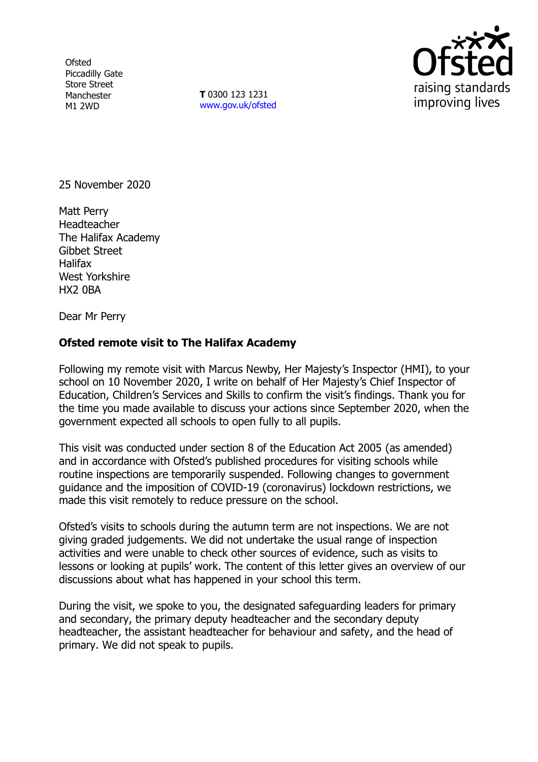**Ofsted** Piccadilly Gate Store Street Manchester M1 2WD

**T** 0300 123 1231 [www.gov.uk/ofsted](http://www.gov.uk/ofsted)



25 November 2020

Matt Perry Headteacher The Halifax Academy Gibbet Street Halifax West Yorkshire HX2 0BA

Dear Mr Perry

## **Ofsted remote visit to The Halifax Academy**

Following my remote visit with Marcus Newby, Her Majesty's Inspector (HMI), to your school on 10 November 2020, I write on behalf of Her Majesty's Chief Inspector of Education, Children's Services and Skills to confirm the visit's findings. Thank you for the time you made available to discuss your actions since September 2020, when the government expected all schools to open fully to all pupils.

This visit was conducted under section 8 of the Education Act 2005 (as amended) and in accordance with Ofsted's published procedures for visiting schools while routine inspections are temporarily suspended. Following changes to government guidance and the imposition of COVID-19 (coronavirus) lockdown restrictions, we made this visit remotely to reduce pressure on the school.

Ofsted's visits to schools during the autumn term are not inspections. We are not giving graded judgements. We did not undertake the usual range of inspection activities and were unable to check other sources of evidence, such as visits to lessons or looking at pupils' work. The content of this letter gives an overview of our discussions about what has happened in your school this term.

During the visit, we spoke to you, the designated safeguarding leaders for primary and secondary, the primary deputy headteacher and the secondary deputy headteacher, the assistant headteacher for behaviour and safety, and the head of primary. We did not speak to pupils.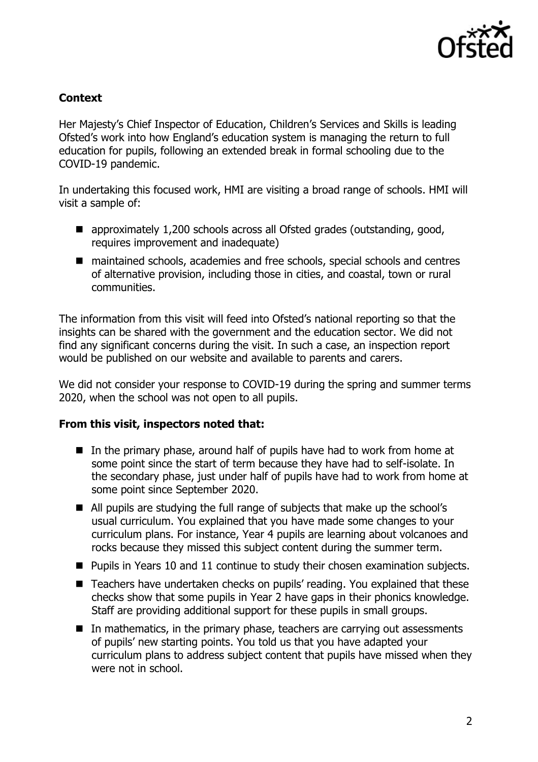

## **Context**

Her Majesty's Chief Inspector of Education, Children's Services and Skills is leading Ofsted's work into how England's education system is managing the return to full education for pupils, following an extended break in formal schooling due to the COVID-19 pandemic.

In undertaking this focused work, HMI are visiting a broad range of schools. HMI will visit a sample of:

- approximately 1,200 schools across all Ofsted grades (outstanding, good, requires improvement and inadequate)
- maintained schools, academies and free schools, special schools and centres of alternative provision, including those in cities, and coastal, town or rural communities.

The information from this visit will feed into Ofsted's national reporting so that the insights can be shared with the government and the education sector. We did not find any significant concerns during the visit. In such a case, an inspection report would be published on our website and available to parents and carers.

We did not consider your response to COVID-19 during the spring and summer terms 2020, when the school was not open to all pupils.

## **From this visit, inspectors noted that:**

- $\blacksquare$  In the primary phase, around half of pupils have had to work from home at some point since the start of term because they have had to self-isolate. In the secondary phase, just under half of pupils have had to work from home at some point since September 2020.
- All pupils are studying the full range of subjects that make up the school's usual curriculum. You explained that you have made some changes to your curriculum plans. For instance, Year 4 pupils are learning about volcanoes and rocks because they missed this subject content during the summer term.
- Pupils in Years 10 and 11 continue to study their chosen examination subjects.
- Teachers have undertaken checks on pupils' reading. You explained that these checks show that some pupils in Year 2 have gaps in their phonics knowledge. Staff are providing additional support for these pupils in small groups.
- In mathematics, in the primary phase, teachers are carrying out assessments of pupils' new starting points. You told us that you have adapted your curriculum plans to address subject content that pupils have missed when they were not in school.